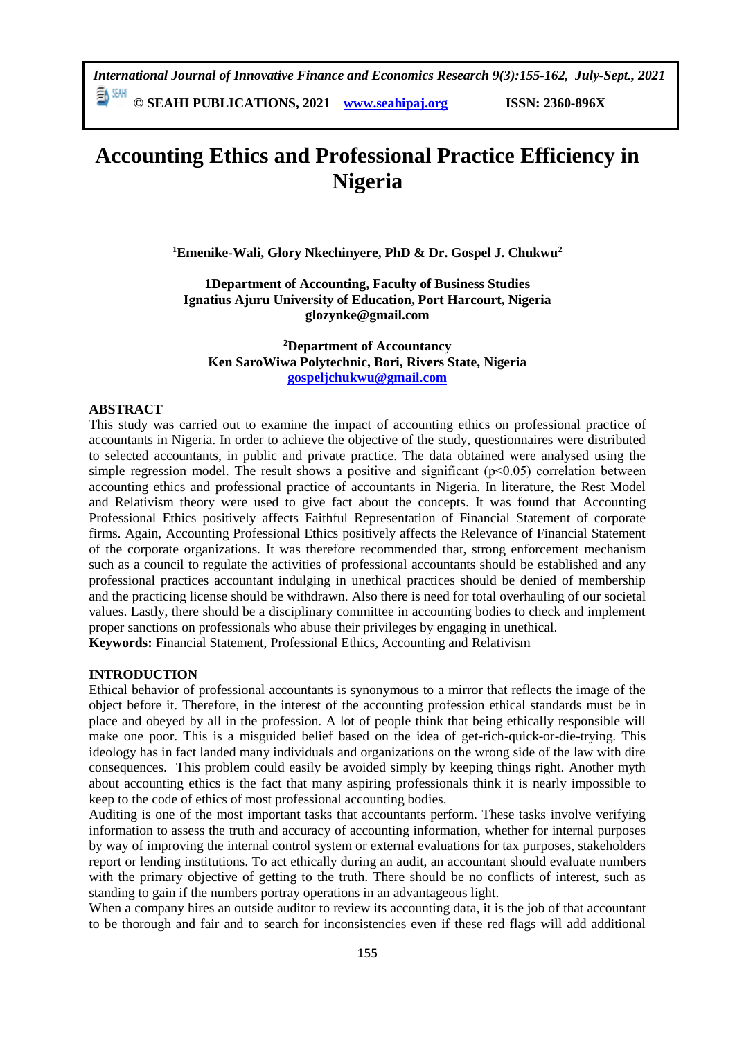*International Journal of Innovative Finance and Economics Research 9(3):155-162, July-Sept., 2021* EN SEMI

**© SEAHI PUBLICATIONS, 2021 [www.seahipaj.org](http://www.seahipaj.org/) ISSN: 2360-896X**

# **Accounting Ethics and Professional Practice Efficiency in Nigeria**

**<sup>1</sup>Emenike-Wali, Glory Nkechinyere, PhD & Dr. Gospel J. Chukwu<sup>2</sup>**

**1Department of Accounting, Faculty of Business Studies Ignatius Ajuru University of Education, Port Harcourt, Nigeria glozynke@gmail.com**

**<sup>2</sup>Department of Accountancy Ken SaroWiwa Polytechnic, Bori, Rivers State, Nigeria [gospeljchukwu@gmail.com](mailto:gospeljchukwu@gmail.com)**

### **ABSTRACT**

This study was carried out to examine the impact of accounting ethics on professional practice of accountants in Nigeria. In order to achieve the objective of the study, questionnaires were distributed to selected accountants, in public and private practice. The data obtained were analysed using the simple regression model. The result shows a positive and significant  $(p<0.05)$  correlation between accounting ethics and professional practice of accountants in Nigeria. In literature, the Rest Model and Relativism theory were used to give fact about the concepts. It was found that Accounting Professional Ethics positively affects Faithful Representation of Financial Statement of corporate firms. Again, Accounting Professional Ethics positively affects the Relevance of Financial Statement of the corporate organizations. It was therefore recommended that, strong enforcement mechanism such as a council to regulate the activities of professional accountants should be established and any professional practices accountant indulging in unethical practices should be denied of membership and the practicing license should be withdrawn. Also there is need for total overhauling of our societal values. Lastly, there should be a disciplinary committee in accounting bodies to check and implement proper sanctions on professionals who abuse their privileges by engaging in unethical. **Keywords:** Financial Statement, Professional Ethics, Accounting and Relativism

#### **INTRODUCTION**

Ethical behavior of professional accountants is synonymous to a mirror that reflects the image of the object before it. Therefore, in the interest of the accounting profession ethical standards must be in place and obeyed by all in the profession. A lot of people think that being ethically responsible will make one poor. This is a misguided belief based on the idea of get-rich-quick-or-die-trying. This ideology has in fact landed many individuals and organizations on the wrong side of the law with dire consequences. This problem could easily be avoided simply by keeping things right. Another myth about accounting ethics is the fact that many aspiring professionals think it is nearly impossible to keep to the code of ethics of most professional accounting bodies.

Auditing is one of the most important tasks that accountants perform. These tasks involve verifying information to assess the truth and accuracy of accounting information, whether for internal purposes by way of improving the internal control system or external evaluations for tax purposes, stakeholders report or lending institutions. To act ethically during an audit, an accountant should evaluate numbers with the primary objective of getting to the truth. There should be no conflicts of interest, such as standing to gain if the numbers portray operations in an advantageous light.

When a company hires an outside auditor to review its accounting data, it is the job of that accountant to be thorough and fair and to search for inconsistencies even if these red flags will add additional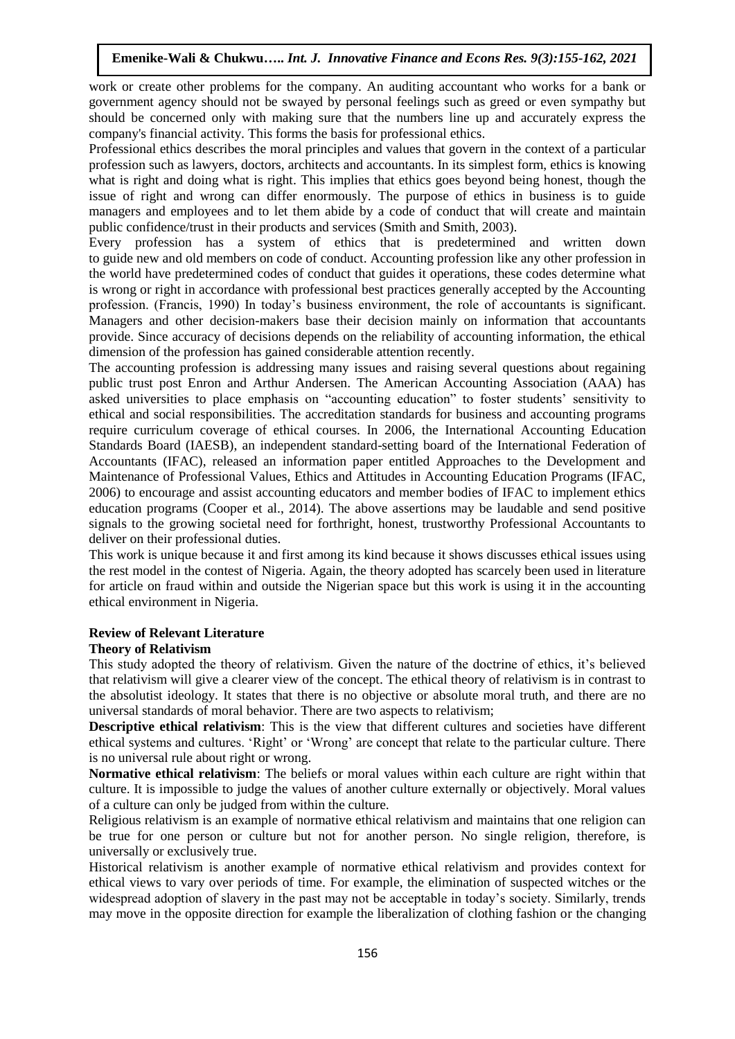work or create other problems for the company. An auditing accountant who works for a bank or government agency should not be swayed by personal feelings such as greed or even sympathy but should be concerned only with making sure that the numbers line up and accurately express the company's financial activity. This forms the basis for professional ethics.

Professional ethics describes the moral principles and values that govern in the context of a particular profession such as lawyers, doctors, architects and accountants. In its simplest form, ethics is knowing what is right and doing what is right. This implies that ethics goes beyond being honest, though the issue of right and wrong can differ enormously. The purpose of ethics in business is to guide managers and employees and to let them abide by a code of conduct that will create and maintain public confidence/trust in their products and services (Smith and Smith, 2003).

Every profession has a system of ethics that is predetermined and written down to guide new and old members on code of conduct. Accounting profession like any other profession in the world have predetermined codes of conduct that guides it operations, these codes determine what is wrong or right in accordance with professional best practices generally accepted by the Accounting profession. (Francis, 1990) In today's business environment, the role of accountants is significant. Managers and other decision-makers base their decision mainly on information that accountants provide. Since accuracy of decisions depends on the reliability of accounting information, the ethical dimension of the profession has gained considerable attention recently.

The accounting profession is addressing many issues and raising several questions about regaining public trust post Enron and Arthur Andersen. The American Accounting Association (AAA) has asked universities to place emphasis on "accounting education" to foster students' sensitivity to ethical and social responsibilities. The accreditation standards for business and accounting programs require curriculum coverage of ethical courses. In 2006, the International Accounting Education Standards Board (IAESB), an independent standard-setting board of the International Federation of Accountants (IFAC), released an information paper entitled Approaches to the Development and Maintenance of Professional Values, Ethics and Attitudes in Accounting Education Programs (IFAC, 2006) to encourage and assist accounting educators and member bodies of IFAC to implement ethics education programs (Cooper et al., 2014). The above assertions may be laudable and send positive signals to the growing societal need for forthright, honest, trustworthy Professional Accountants to deliver on their professional duties.

This work is unique because it and first among its kind because it shows discusses ethical issues using the rest model in the contest of Nigeria. Again, the theory adopted has scarcely been used in literature for article on fraud within and outside the Nigerian space but this work is using it in the accounting ethical environment in Nigeria.

## **Review of Relevant Literature**

## **Theory of Relativism**

This study adopted the theory of relativism. Given the nature of the doctrine of ethics, it's believed that relativism will give a clearer view of the concept. The ethical theory of relativism is in contrast to the absolutist ideology. It states that there is no objective or absolute moral truth, and there are no universal standards of moral behavior. There are two aspects to relativism;

**Descriptive ethical relativism**: This is the view that different cultures and societies have different ethical systems and cultures. 'Right' or 'Wrong' are concept that relate to the particular culture. There is no universal rule about right or wrong.

**Normative ethical relativism**: The beliefs or moral values within each culture are right within that culture. It is impossible to judge the values of another culture externally or objectively. Moral values of a culture can only be judged from within the culture.

Religious relativism is an example of normative ethical relativism and maintains that one religion can be true for one person or culture but not for another person. No single religion, therefore, is universally or exclusively true.

Historical relativism is another example of normative ethical relativism and provides context for ethical views to vary over periods of time. For example, the elimination of suspected witches or the widespread adoption of slavery in the past may not be acceptable in today's society. Similarly, trends may move in the opposite direction for example the liberalization of clothing fashion or the changing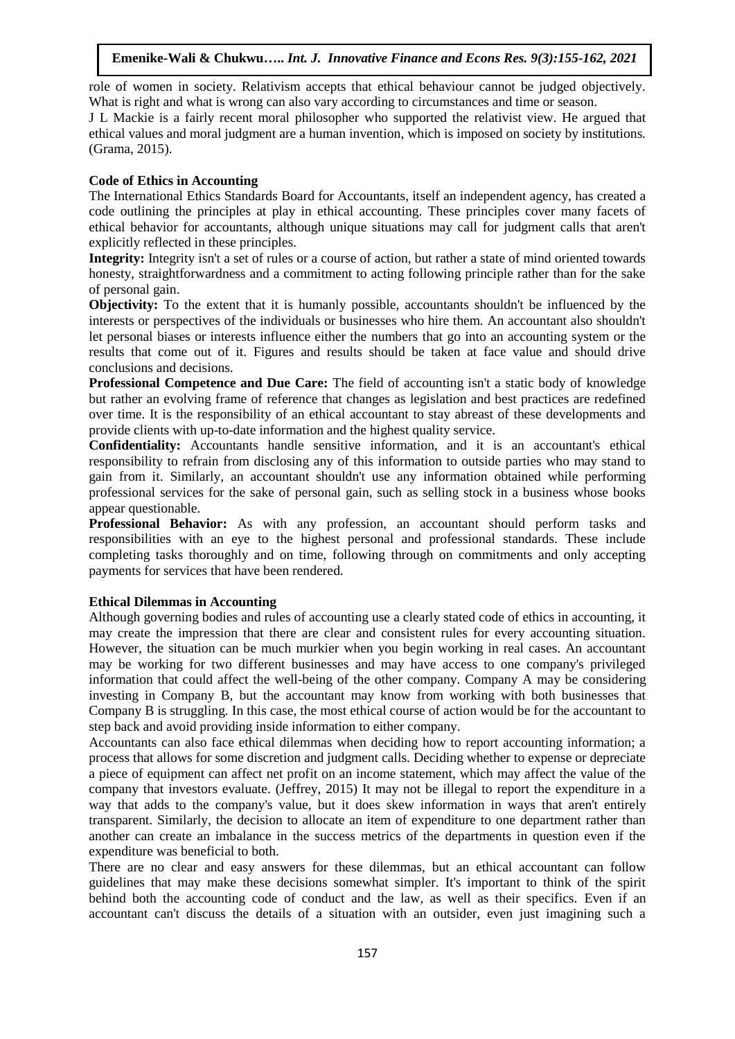role of women in society. Relativism accepts that ethical behaviour cannot be judged objectively. What is right and what is wrong can also vary according to circumstances and time or season.

J L Mackie is a fairly recent moral philosopher who supported the relativist view. He argued that ethical values and moral judgment are a human invention, which is imposed on society by institutions. (Grama, 2015).

#### **Code of Ethics in Accounting**

The International Ethics Standards Board for Accountants, itself an independent agency, has created a code outlining the principles at play in ethical accounting. These principles cover many facets of ethical behavior for accountants, although unique situations may call for judgment calls that aren't explicitly reflected in these principles.

**Integrity:** Integrity isn't a set of rules or a course of action, but rather a state of mind oriented towards honesty, straightforwardness and a commitment to acting following principle rather than for the sake of personal gain.

**Objectivity:** To the extent that it is humanly possible, accountants shouldn't be influenced by the interests or perspectives of the individuals or businesses who hire them. An accountant also shouldn't let personal biases or interests influence either the numbers that go into an accounting system or the results that come out of it. Figures and results should be taken at face value and should drive conclusions and decisions.

**Professional Competence and Due Care:** The field of accounting isn't a static body of knowledge but rather an evolving frame of reference that changes as legislation and best practices are redefined over time. It is the responsibility of an ethical accountant to stay abreast of these developments and provide clients with up-to-date information and the highest quality service.

**Confidentiality:** Accountants handle sensitive information, and it is an accountant's ethical responsibility to refrain from disclosing any of this information to outside parties who may stand to gain from it. Similarly, an accountant shouldn't use any information obtained while performing professional services for the sake of personal gain, such as selling stock in a business whose books appear questionable.

**Professional Behavior:** As with any profession, an accountant should perform tasks and responsibilities with an eye to the highest personal and professional standards. These include completing tasks thoroughly and on time, following through on commitments and only accepting payments for services that have been rendered.

## **Ethical Dilemmas in Accounting**

Although governing bodies and rules of accounting use a clearly stated code of ethics in accounting, it may create the impression that there are clear and consistent rules for every accounting situation. However, the situation can be much murkier when you begin working in real cases. An accountant may be working for two different businesses and may have access to one company's privileged information that could affect the well-being of the other company. Company A may be considering investing in Company B, but the accountant may know from working with both businesses that Company B is struggling. In this case, the most ethical course of action would be for the accountant to step back and avoid providing inside information to either company.

Accountants can also face ethical dilemmas when deciding how to report accounting information; a process that allows for some discretion and judgment calls. Deciding whether to expense or depreciate a piece of equipment can affect net profit on an income statement, which may affect the value of the company that investors evaluate. (Jeffrey, 2015) It may not be illegal to report the expenditure in a way that adds to the company's value, but it does skew information in ways that aren't entirely transparent. Similarly, the decision to allocate an item of expenditure to one department rather than another can create an imbalance in the success metrics of the departments in question even if the expenditure was beneficial to both.

There are no clear and easy answers for these dilemmas, but an ethical accountant can follow guidelines that may make these decisions somewhat simpler. It's important to think of the spirit behind both the accounting code of conduct and the law, as well as their specifics. Even if an accountant can't discuss the details of a situation with an outsider, even just imagining such a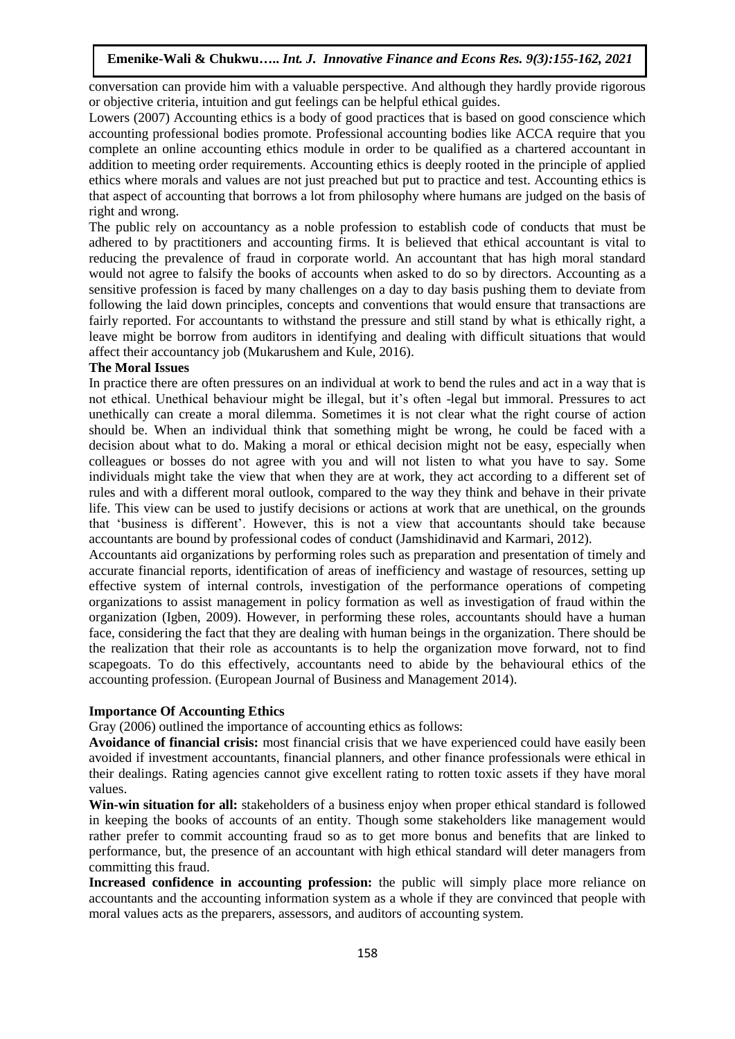conversation can provide him with a valuable perspective. And although they hardly provide rigorous or objective criteria, intuition and gut feelings can be helpful ethical guides.

Lowers (2007) Accounting ethics is a body of good practices that is based on good conscience which accounting professional bodies promote. Professional accounting bodies like ACCA require that you complete an online accounting ethics module in order to be qualified as a chartered accountant in addition to meeting order requirements. Accounting ethics is deeply rooted in the principle of applied ethics where morals and values are not just preached but put to practice and test. Accounting ethics is that aspect of accounting that borrows a lot from philosophy where humans are judged on the basis of right and wrong.

The public rely on accountancy as a noble profession to establish code of conducts that must be adhered to by practitioners and accounting firms. It is believed that ethical accountant is vital to reducing the prevalence of fraud in corporate world. An accountant that has high moral standard would not agree to falsify the books of accounts when asked to do so by directors. Accounting as a sensitive profession is faced by many challenges on a day to day basis pushing them to deviate from following the laid down principles, concepts and conventions that would ensure that transactions are fairly reported. For accountants to withstand the pressure and still stand by what is ethically right, a leave might be borrow from auditors in identifying and dealing with difficult situations that would affect their accountancy job (Mukarushem and Kule, 2016).

## **The Moral Issues**

In practice there are often pressures on an individual at work to bend the rules and act in a way that is not ethical. Unethical behaviour might be illegal, but it's often -legal but immoral. Pressures to act unethically can create a moral dilemma. Sometimes it is not clear what the right course of action should be. When an individual think that something might be wrong, he could be faced with a decision about what to do. Making a moral or ethical decision might not be easy, especially when colleagues or bosses do not agree with you and will not listen to what you have to say. Some individuals might take the view that when they are at work, they act according to a different set of rules and with a different moral outlook, compared to the way they think and behave in their private life. This view can be used to justify decisions or actions at work that are unethical, on the grounds that 'business is different'. However, this is not a view that accountants should take because accountants are bound by professional codes of conduct (Jamshidinavid and Karmari, 2012).

Accountants aid organizations by performing roles such as preparation and presentation of timely and accurate financial reports, identification of areas of inefficiency and wastage of resources, setting up effective system of internal controls, investigation of the performance operations of competing organizations to assist management in policy formation as well as investigation of fraud within the organization (Igben, 2009). However, in performing these roles, accountants should have a human face, considering the fact that they are dealing with human beings in the organization. There should be the realization that their role as accountants is to help the organization move forward, not to find scapegoats. To do this effectively, accountants need to abide by the behavioural ethics of the accounting profession. (European Journal of Business and Management 2014).

## **Importance Of Accounting Ethics**

Gray (2006) outlined the importance of accounting ethics as follows:

**Avoidance of financial crisis:** most financial crisis that we have experienced could have easily been avoided if investment accountants, financial planners, and other finance professionals were ethical in their dealings. Rating agencies cannot give excellent rating to rotten toxic assets if they have moral values.

**Win-win situation for all:** stakeholders of a business enjoy when proper ethical standard is followed in keeping the books of accounts of an entity. Though some stakeholders like management would rather prefer to commit accounting fraud so as to get more bonus and benefits that are linked to performance, but, the presence of an accountant with high ethical standard will deter managers from committing this fraud.

**Increased confidence in accounting profession:** the public will simply place more reliance on accountants and the accounting information system as a whole if they are convinced that people with moral values acts as the preparers, assessors, and auditors of accounting system.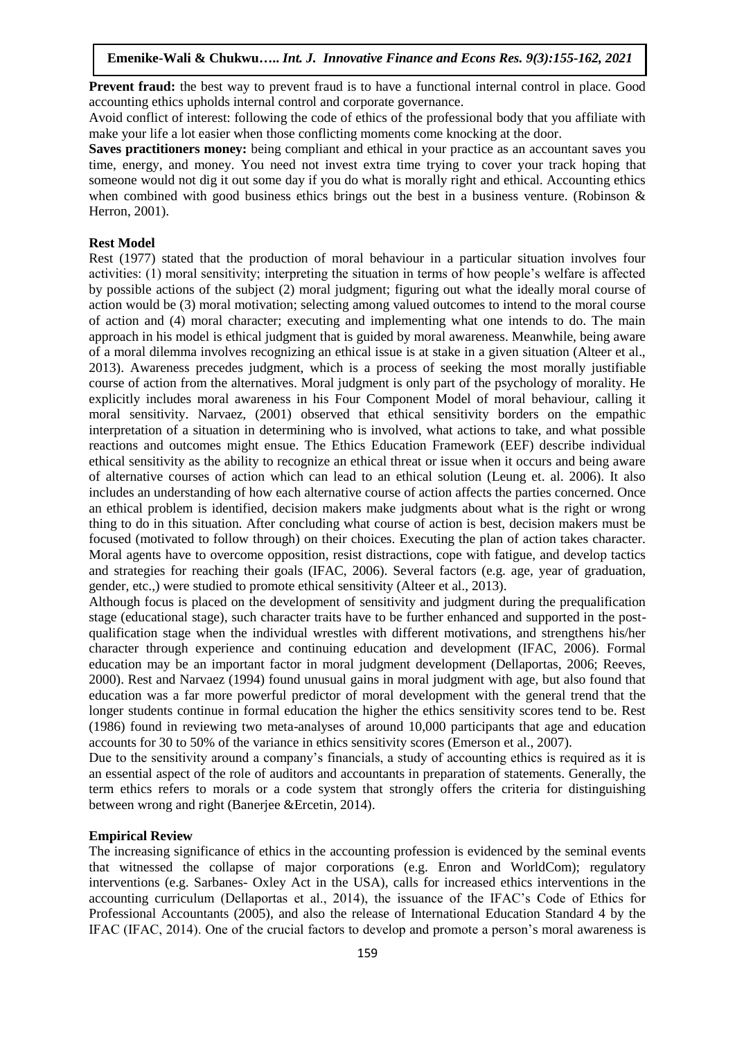**Prevent fraud:** the best way to prevent fraud is to have a functional internal control in place. Good accounting ethics upholds internal control and corporate governance.

Avoid conflict of interest: following the code of ethics of the professional body that you affiliate with make your life a lot easier when those conflicting moments come knocking at the door.

**Saves practitioners money:** being compliant and ethical in your practice as an accountant saves you time, energy, and money. You need not invest extra time trying to cover your track hoping that someone would not dig it out some day if you do what is morally right and ethical. Accounting ethics when combined with good business ethics brings out the best in a business venture. (Robinson & Herron, 2001).

#### **Rest Model**

Rest (1977) stated that the production of moral behaviour in a particular situation involves four activities: (1) moral sensitivity; interpreting the situation in terms of how people's welfare is affected by possible actions of the subject (2) moral judgment; figuring out what the ideally moral course of action would be (3) moral motivation; selecting among valued outcomes to intend to the moral course of action and (4) moral character; executing and implementing what one intends to do. The main approach in his model is ethical judgment that is guided by moral awareness. Meanwhile, being aware of a moral dilemma involves recognizing an ethical issue is at stake in a given situation (Alteer et al., 2013). Awareness precedes judgment, which is a process of seeking the most morally justifiable course of action from the alternatives. Moral judgment is only part of the psychology of morality. He explicitly includes moral awareness in his Four Component Model of moral behaviour, calling it moral sensitivity. Narvaez, (2001) observed that ethical sensitivity borders on the empathic interpretation of a situation in determining who is involved, what actions to take, and what possible reactions and outcomes might ensue. The Ethics Education Framework (EEF) describe individual ethical sensitivity as the ability to recognize an ethical threat or issue when it occurs and being aware of alternative courses of action which can lead to an ethical solution (Leung et. al. 2006). It also includes an understanding of how each alternative course of action affects the parties concerned. Once an ethical problem is identified, decision makers make judgments about what is the right or wrong thing to do in this situation. After concluding what course of action is best, decision makers must be focused (motivated to follow through) on their choices. Executing the plan of action takes character. Moral agents have to overcome opposition, resist distractions, cope with fatigue, and develop tactics and strategies for reaching their goals (IFAC, 2006). Several factors (e.g. age, year of graduation, gender, etc.,) were studied to promote ethical sensitivity (Alteer et al., 2013).

Although focus is placed on the development of sensitivity and judgment during the prequalification stage (educational stage), such character traits have to be further enhanced and supported in the postqualification stage when the individual wrestles with different motivations, and strengthens his/her character through experience and continuing education and development (IFAC, 2006). Formal education may be an important factor in moral judgment development (Dellaportas, 2006; Reeves, 2000). Rest and Narvaez (1994) found unusual gains in moral judgment with age, but also found that education was a far more powerful predictor of moral development with the general trend that the longer students continue in formal education the higher the ethics sensitivity scores tend to be. Rest (1986) found in reviewing two meta-analyses of around 10,000 participants that age and education accounts for 30 to 50% of the variance in ethics sensitivity scores (Emerson et al., 2007).

Due to the sensitivity around a company's financials, a study of accounting ethics is required as it is an essential aspect of the role of auditors and accountants in preparation of statements. Generally, the term ethics refers to morals or a code system that strongly offers the criteria for distinguishing between wrong and right (Banerjee &Ercetin, 2014).

## **Empirical Review**

The increasing significance of ethics in the accounting profession is evidenced by the seminal events that witnessed the collapse of major corporations (e.g. Enron and WorldCom); regulatory interventions (e.g. Sarbanes- Oxley Act in the USA), calls for increased ethics interventions in the accounting curriculum (Dellaportas et al., 2014), the issuance of the IFAC's Code of Ethics for Professional Accountants (2005), and also the release of International Education Standard 4 by the IFAC (IFAC, 2014). One of the crucial factors to develop and promote a person's moral awareness is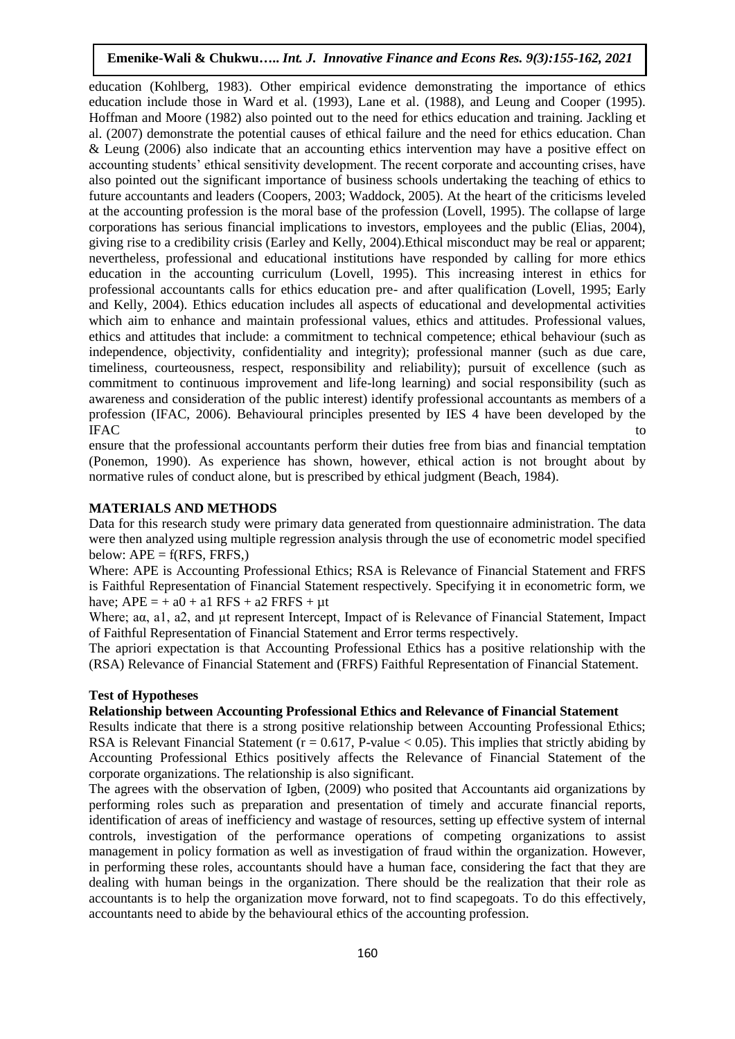education (Kohlberg, 1983). Other empirical evidence demonstrating the importance of ethics education include those in Ward et al. (1993), Lane et al. (1988), and Leung and Cooper (1995). Hoffman and Moore (1982) also pointed out to the need for ethics education and training. Jackling et al. (2007) demonstrate the potential causes of ethical failure and the need for ethics education. Chan & Leung (2006) also indicate that an accounting ethics intervention may have a positive effect on accounting students' ethical sensitivity development. The recent corporate and accounting crises, have also pointed out the significant importance of business schools undertaking the teaching of ethics to future accountants and leaders (Coopers, 2003; Waddock, 2005). At the heart of the criticisms leveled at the accounting profession is the moral base of the profession (Lovell, 1995). The collapse of large corporations has serious financial implications to investors, employees and the public (Elias, 2004), giving rise to a credibility crisis (Earley and Kelly, 2004).Ethical misconduct may be real or apparent; nevertheless, professional and educational institutions have responded by calling for more ethics education in the accounting curriculum (Lovell, 1995). This increasing interest in ethics for professional accountants calls for ethics education pre- and after qualification (Lovell, 1995; Early and Kelly, 2004). Ethics education includes all aspects of educational and developmental activities which aim to enhance and maintain professional values, ethics and attitudes. Professional values, ethics and attitudes that include: a commitment to technical competence; ethical behaviour (such as independence, objectivity, confidentiality and integrity); professional manner (such as due care, timeliness, courteousness, respect, responsibility and reliability); pursuit of excellence (such as commitment to continuous improvement and life-long learning) and social responsibility (such as awareness and consideration of the public interest) identify professional accountants as members of a profession (IFAC, 2006). Behavioural principles presented by IES 4 have been developed by the IFAC to the set of the set of the set of the set of the set of the set of the set of the set of the set of the set of the set of the set of the set of the set of the set of the set of the set of the set of the set of the s

ensure that the professional accountants perform their duties free from bias and financial temptation (Ponemon, 1990). As experience has shown, however, ethical action is not brought about by normative rules of conduct alone, but is prescribed by ethical judgment (Beach, 1984).

# **MATERIALS AND METHODS**

Data for this research study were primary data generated from questionnaire administration. The data were then analyzed using multiple regression analysis through the use of econometric model specified below:  $APE = f(RFS, FRFS)$ 

Where: APE is Accounting Professional Ethics; RSA is Relevance of Financial Statement and FRFS is Faithful Representation of Financial Statement respectively. Specifying it in econometric form, we have;  $APE = + a0 + a1 RFS + a2 FRFS + \mu t$ 

Where; aα, a1, a2, and μt represent Intercept, Impact of is Relevance of Financial Statement, Impact of Faithful Representation of Financial Statement and Error terms respectively.

The apriori expectation is that Accounting Professional Ethics has a positive relationship with the (RSA) Relevance of Financial Statement and (FRFS) Faithful Representation of Financial Statement.

## **Test of Hypotheses**

# **Relationship between Accounting Professional Ethics and Relevance of Financial Statement**

Results indicate that there is a strong positive relationship between Accounting Professional Ethics; RSA is Relevant Financial Statement ( $r = 0.617$ , P-value < 0.05). This implies that strictly abiding by Accounting Professional Ethics positively affects the Relevance of Financial Statement of the corporate organizations. The relationship is also significant.

The agrees with the observation of Igben, (2009) who posited that Accountants aid organizations by performing roles such as preparation and presentation of timely and accurate financial reports, identification of areas of inefficiency and wastage of resources, setting up effective system of internal controls, investigation of the performance operations of competing organizations to assist management in policy formation as well as investigation of fraud within the organization. However, in performing these roles, accountants should have a human face, considering the fact that they are dealing with human beings in the organization. There should be the realization that their role as accountants is to help the organization move forward, not to find scapegoats. To do this effectively, accountants need to abide by the behavioural ethics of the accounting profession.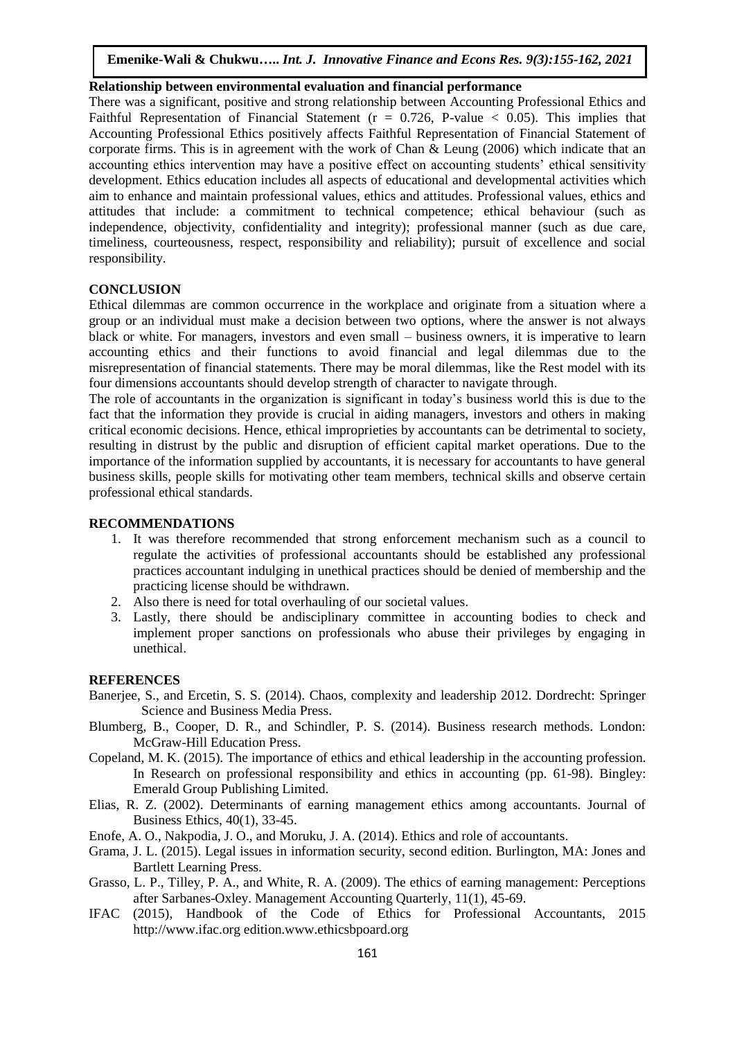## **Relationship between environmental evaluation and financial performance**

There was a significant, positive and strong relationship between Accounting Professional Ethics and Faithful Representation of Financial Statement ( $r = 0.726$ , P-value  $\lt 0.05$ ). This implies that Accounting Professional Ethics positively affects Faithful Representation of Financial Statement of corporate firms. This is in agreement with the work of Chan & Leung (2006) which indicate that an accounting ethics intervention may have a positive effect on accounting students' ethical sensitivity development. Ethics education includes all aspects of educational and developmental activities which aim to enhance and maintain professional values, ethics and attitudes. Professional values, ethics and attitudes that include: a commitment to technical competence; ethical behaviour (such as independence, objectivity, confidentiality and integrity); professional manner (such as due care, timeliness, courteousness, respect, responsibility and reliability); pursuit of excellence and social responsibility.

# **CONCLUSION**

Ethical dilemmas are common occurrence in the workplace and originate from a situation where a group or an individual must make a decision between two options, where the answer is not always black or white. For managers, investors and even small – business owners, it is imperative to learn accounting ethics and their functions to avoid financial and legal dilemmas due to the misrepresentation of financial statements. There may be moral dilemmas, like the Rest model with its four dimensions accountants should develop strength of character to navigate through.

The role of accountants in the organization is significant in today's business world this is due to the fact that the information they provide is crucial in aiding managers, investors and others in making critical economic decisions. Hence, ethical improprieties by accountants can be detrimental to society, resulting in distrust by the public and disruption of efficient capital market operations. Due to the importance of the information supplied by accountants, it is necessary for accountants to have general business skills, people skills for motivating other team members, technical skills and observe certain professional ethical standards.

## **RECOMMENDATIONS**

- 1. It was therefore recommended that strong enforcement mechanism such as a council to regulate the activities of professional accountants should be established any professional practices accountant indulging in unethical practices should be denied of membership and the practicing license should be withdrawn.
- 2. Also there is need for total overhauling of our societal values.
- 3. Lastly, there should be andisciplinary committee in accounting bodies to check and implement proper sanctions on professionals who abuse their privileges by engaging in unethical.

## **REFERENCES**

- Banerjee, S., and Ercetin, S. S. (2014). Chaos, complexity and leadership 2012. Dordrecht: Springer Science and Business Media Press.
- Blumberg, B., Cooper, D. R., and Schindler, P. S. (2014). Business research methods. London: McGraw-Hill Education Press.
- Copeland, M. K. (2015). The importance of ethics and ethical leadership in the accounting profession. In Research on professional responsibility and ethics in accounting (pp. 61-98). Bingley: Emerald Group Publishing Limited.
- Elias, R. Z. (2002). Determinants of earning management ethics among accountants. Journal of Business Ethics, 40(1), 33-45.
- Enofe, A. O., Nakpodia, J. O., and Moruku, J. A. (2014). Ethics and role of accountants.
- Grama, J. L. (2015). Legal issues in information security, second edition. Burlington, MA: Jones and Bartlett Learning Press.
- Grasso, L. P., Tilley, P. A., and White, R. A. (2009). The ethics of earning management: Perceptions after Sarbanes-Oxley. Management Accounting Quarterly, 11(1), 45-69.
- IFAC (2015), Handbook of the Code of Ethics for Professional Accountants, 2015 http://www.ifac.org edition.www.ethicsbpoard.org